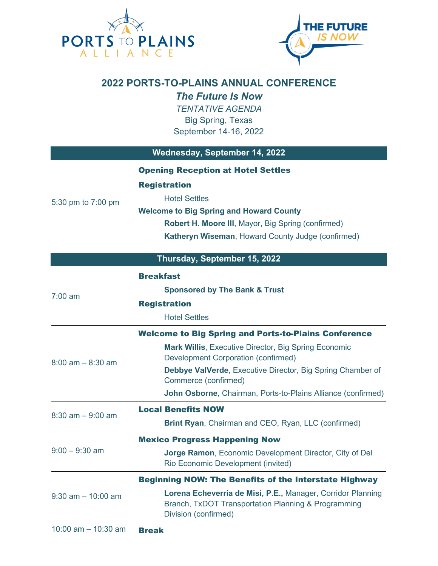



## **2022 PORTS-TO-PLAINS ANNUAL CONFERENCE**

*The Future Is Now*

*TENTATIVE AGENDA* Big Spring, Texas September 14-16, 2022

| Wednesday, September 14, 2022 |                                                                                                                                                                                                                                                                                                                                |  |
|-------------------------------|--------------------------------------------------------------------------------------------------------------------------------------------------------------------------------------------------------------------------------------------------------------------------------------------------------------------------------|--|
| 5:30 pm to 7:00 pm            | <b>Opening Reception at Hotel Settles</b><br><b>Registration</b><br><b>Hotel Settles</b><br><b>Welcome to Big Spring and Howard County</b><br>Robert H. Moore III, Mayor, Big Spring (confirmed)<br>Katheryn Wiseman, Howard County Judge (confirmed)                                                                          |  |
|                               | Thursday, September 15, 2022                                                                                                                                                                                                                                                                                                   |  |
| $7:00 \text{ am}$             | <b>Breakfast</b><br><b>Sponsored by The Bank &amp; Trust</b><br><b>Registration</b><br><b>Hotel Settles</b>                                                                                                                                                                                                                    |  |
| $8:00$ am $-8:30$ am          | <b>Welcome to Big Spring and Ports-to-Plains Conference</b><br><b>Mark Willis, Executive Director, Big Spring Economic</b><br><b>Development Corporation (confirmed)</b><br>Debbye ValVerde, Executive Director, Big Spring Chamber of<br>Commerce (confirmed)<br>John Osborne, Chairman, Ports-to-Plains Alliance (confirmed) |  |
| $8:30$ am $-9:00$ am          | <b>Local Benefits NOW</b><br>Brint Ryan, Chairman and CEO, Ryan, LLC (confirmed)                                                                                                                                                                                                                                               |  |
| $9:00 - 9:30$ am              | <b>Mexico Progress Happening Now</b><br>Jorge Ramon, Economic Development Director, City of Del<br>Rio Economic Development (invited)                                                                                                                                                                                          |  |
| $9:30$ am $-10:00$ am         | <b>Beginning NOW: The Benefits of the Interstate Highway</b><br>Lorena Echeverria de Misi, P.E., Manager, Corridor Planning<br>Branch, TxDOT Transportation Planning & Programming<br>Division (confirmed)                                                                                                                     |  |
| 10:00 am $-$ 10:30 am         | <b>Break</b>                                                                                                                                                                                                                                                                                                                   |  |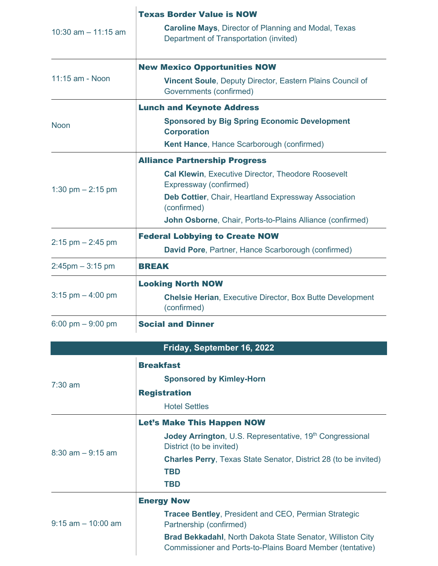| 10:30 am $-$ 11:15 am | <b>Texas Border Value is NOW</b><br><b>Caroline Mays, Director of Planning and Modal, Texas</b><br>Department of Transportation (invited)                                                                                                                       |
|-----------------------|-----------------------------------------------------------------------------------------------------------------------------------------------------------------------------------------------------------------------------------------------------------------|
| 11:15 am - Noon       | <b>New Mexico Opportunities NOW</b><br>Vincent Soule, Deputy Director, Eastern Plains Council of<br>Governments (confirmed)                                                                                                                                     |
| <b>Noon</b>           | <b>Lunch and Keynote Address</b><br><b>Sponsored by Big Spring Economic Development</b><br><b>Corporation</b><br><b>Kent Hance, Hance Scarborough (confirmed)</b>                                                                                               |
| 1:30 pm $- 2:15$ pm   | <b>Alliance Partnership Progress</b><br><b>Cal Klewin, Executive Director, Theodore Roosevelt</b><br>Expressway (confirmed)<br>Deb Cottier, Chair, Heartland Expressway Association<br>(confirmed)<br>John Osborne, Chair, Ports-to-Plains Alliance (confirmed) |
| $2:15$ pm $- 2:45$ pm | <b>Federal Lobbying to Create NOW</b><br>David Pore, Partner, Hance Scarborough (confirmed)                                                                                                                                                                     |
| $2:45$ pm $-3:15$ pm  | <b>BREAK</b>                                                                                                                                                                                                                                                    |
| 3:15 pm $-$ 4:00 pm   | <b>Looking North NOW</b><br><b>Chelsie Herian, Executive Director, Box Butte Development</b><br>(confirmed)                                                                                                                                                     |
| 6:00 pm $-9:00$ pm    | <b>Social and Dinner</b>                                                                                                                                                                                                                                        |
|                       | Friday, September 16, 2022                                                                                                                                                                                                                                      |
| $7:30$ am             | <b>Breakfast</b><br><b>Sponsored by Kimley-Horn</b><br><b>Registration</b><br><b>Hotel Settles</b>                                                                                                                                                              |
| $8:30$ am $-9:15$ am  | <b>Let's Make This Happen NOW</b><br>Jodey Arrington, U.S. Representative, 19th Congressional<br>District (to be invited)<br><b>Charles Perry, Texas State Senator, District 28 (to be invited)</b><br><b>TBD</b><br><b>TBD</b>                                 |
| $9:15$ am $-10:00$ am | <b>Energy Now</b><br><b>Tracee Bentley, President and CEO, Permian Strategic</b><br>Partnership (confirmed)<br><b>Brad Bekkadahl, North Dakota State Senator, Williston City</b><br>Commissioner and Ports-to-Plains Board Member (tentative)                   |